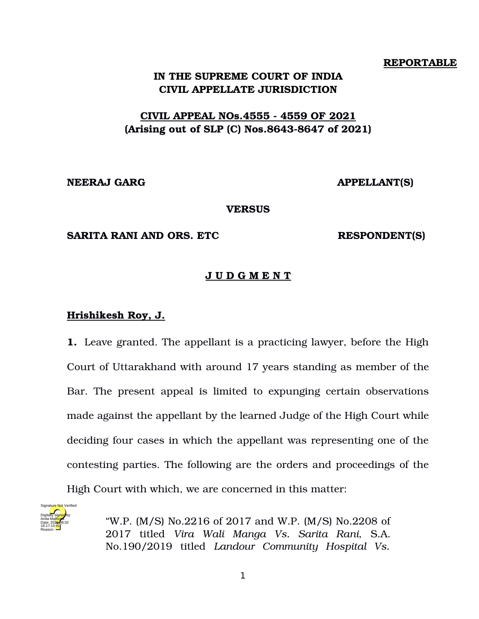#### **REPORTABLE**

## **IN THE SUPREME COURT OF INDIA CIVIL APPELLATE JURISDICTION**

# **CIVIL APPEAL NOs. 4555 4559 OF 2021** (Arising out of SLP (C) Nos.8643-8647 of 2021)

**NEERAJ GARG APPELLANT(S)**

**VERSUS**

#### **SARITA RANI AND ORS. ETC RESPONDENT(S)**

## **J U D G M E N T**

### **Hrishikesh Roy, J.**

**1.** Leave granted. The appellant is a practicing lawyer, before the High Court of Uttarakhand with around 17 years standing as member of the Bar. The present appeal is limited to expunging certain observations made against the appellant by the learned Judge of the High Court while deciding four cases in which the appellant was representing one of the contesting parties. The following are the orders and proceedings of the High Court with which, we are concerned in this matter:



"W.P. (M/S) No.2216 of 2017 and W.P. (M/S) No.2208 of 2017 titled *Vira Wali Manga Vs. Sarita Rani,* S.A. No.190/2019 titled *Landour Community Hospital Vs.*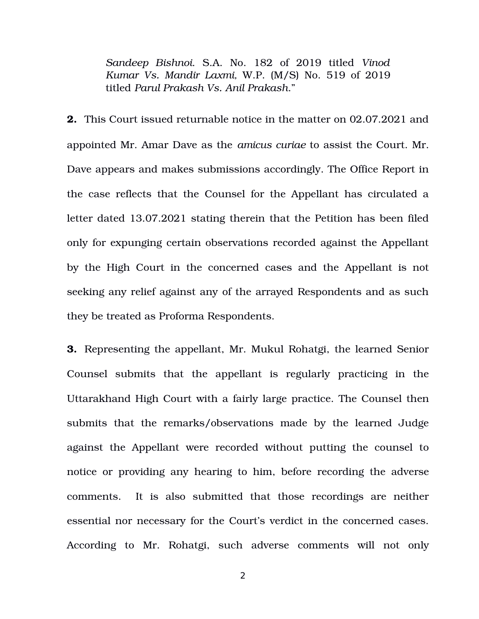*Sandeep Bishnoi*. S.A. No. 182 of 2019 titled *Vinod Kumar Vs. Mandir Laxmi,* W.P. (M/S) No. 519 of 2019 titled *Parul Prakash Vs. Anil Prakash*."

**2.** This Court issued returnable notice in the matter on 02.07.2021 and appointed Mr. Amar Dave as the *amicus curiae* to assist the Court. Mr. Dave appears and makes submissions accordingly. The Office Report in the case reflects that the Counsel for the Appellant has circulated a letter dated 13.07.2021 stating therein that the Petition has been filed only for expunging certain observations recorded against the Appellant by the High Court in the concerned cases and the Appellant is not seeking any relief against any of the arrayed Respondents and as such they be treated as Proforma Respondents.

**3.** Representing the appellant, Mr. Mukul Rohatgi, the learned Senior Counsel submits that the appellant is regularly practicing in the Uttarakhand High Court with a fairly large practice. The Counsel then submits that the remarks/observations made by the learned Judge against the Appellant were recorded without putting the counsel to notice or providing any hearing to him, before recording the adverse comments. It is also submitted that those recordings are neither essential nor necessary for the Court's verdict in the concerned cases. According to Mr. Rohatgi, such adverse comments will not only

2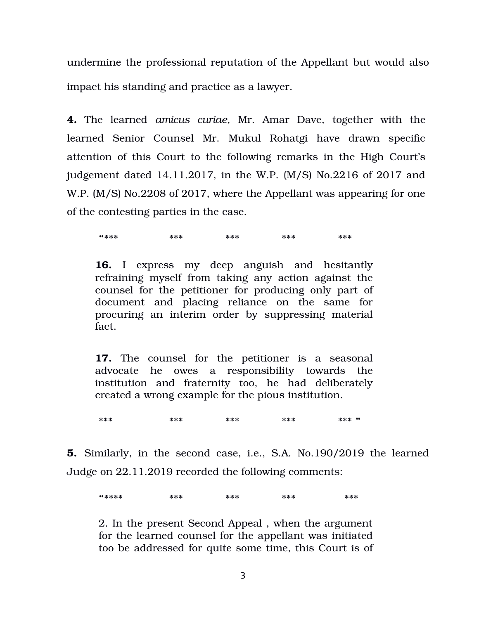undermine the professional reputation of the Appellant but would also impact his standing and practice as a lawyer.

**4.** The learned *amicus curiae*, Mr. Amar Dave, together with the learned Senior Counsel Mr. Mukul Rohatgi have drawn specific attention of this Court to the following remarks in the High Court's judgement dated 14.11.2017, in the W.P. (M/S) No.2216 of 2017 and W.P. (M/S) No.2208 of 2017, where the Appellant was appearing for one of the contesting parties in the case.

**"\*\*\* \*\*\* \*\*\* \*\*\* \*\*\***

**16.** I express my deep anguish and hesitantly refraining myself from taking any action against the counsel for the petitioner for producing only part of document and placing reliance on the same for procuring an interim order by suppressing material fact.

**17.** The counsel for the petitioner is a seasonal advocate he owes a responsibility towards the institution and fraternity too, he had deliberately created a wrong example for the pious institution.

**\*\*\* \*\*\* \*\*\* \*\*\* \*\*\* "** 

**5.** Similarly, in the second case, i.e., S.A. No.190/2019 the learned Judge on 22.11.2019 recorded the following comments:

**"\*\*\*\* \*\*\* \*\*\* \*\*\* \*\*\***

2. In the present Second Appeal , when the argument for the learned counsel for the appellant was initiated too be addressed for quite some time, this Court is of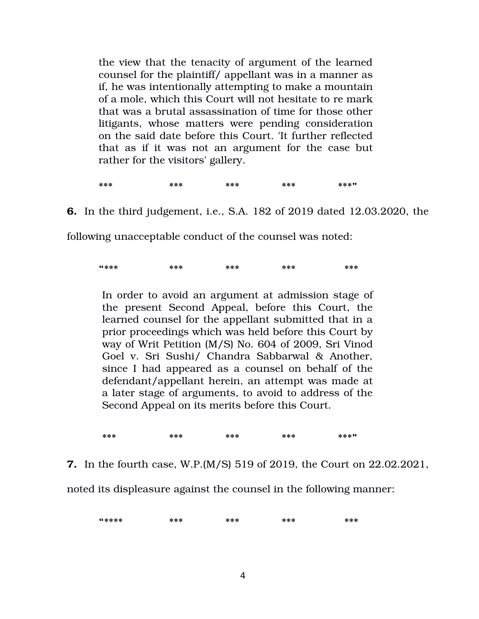the view that the tenacity of argument of the learned counsel for the plaintiff/ appellant was in a manner as if, he was intentionally attempting to make a mountain of a mole, which this Court will not hesitate to re mark that was a brutal assassination of time for those other litigants, whose matters were pending consideration on the said date before this Court. 'It further reflected that as if it was not an argument for the case but rather for the visitors' gallery.

**\*\*\* \*\*\* \*\*\* \*\*\* \*\*\*"** 

**6.** In the third judgement, i.e., S.A. 182 of 2019 dated 12.03.2020, the

following unacceptable conduct of the counsel was noted:

**"\*\*\* \*\*\* \*\*\* \*\*\* \*\*\***

In order to avoid an argument at admission stage of the present Second Appeal, before this Court, the learned counsel for the appellant submitted that in a prior proceedings which was held before this Court by way of Writ Petition (M/S) No. 604 of 2009, Sri Vinod Goel v. Sri Sushi/ Chandra Sabbarwal & Another, since I had appeared as a counsel on behalf of the defendant/appellant herein, an attempt was made at a later stage of arguments, to avoid to address of the Second Appeal on its merits before this Court.

**\*\*\* \*\*\* \*\*\* \*\*\* \*\*\*"** 

**7.** In the fourth case, W.P.(M/S) 519 of 2019, the Court on 22.02.2021,

noted its displeasure against the counsel in the following manner:

**"\*\*\*\* \*\*\* \*\*\* \*\*\* \*\*\***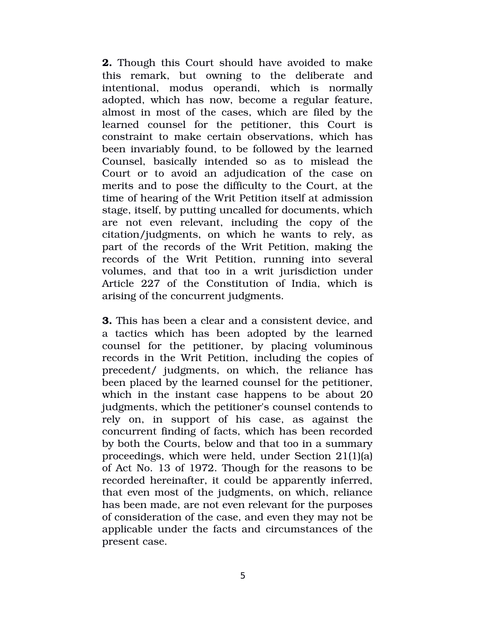**2.** Though this Court should have avoided to make this remark, but owning to the deliberate and intentional, modus operandi, which is normally adopted, which has now, become a regular feature, almost in most of the cases, which are filed by the learned counsel for the petitioner, this Court is constraint to make certain observations, which has been invariably found, to be followed by the learned Counsel, basically intended so as to mislead the Court or to avoid an adjudication of the case on merits and to pose the difficulty to the Court, at the time of hearing of the Writ Petition itself at admission stage, itself, by putting uncalled for documents, which are not even relevant, including the copy of the citation/judgments, on which he wants to rely, as part of the records of the Writ Petition, making the records of the Writ Petition, running into several volumes, and that too in a writ jurisdiction under Article 227 of the Constitution of India, which is arising of the concurrent judgments.

**3.** This has been a clear and a consistent device, and a tactics which has been adopted by the learned counsel for the petitioner, by placing voluminous records in the Writ Petition, including the copies of precedent/ judgments, on which, the reliance has been placed by the learned counsel for the petitioner, which in the instant case happens to be about 20 judgments, which the petitioner's counsel contends to rely on, in support of his case, as against the concurrent finding of facts, which has been recorded by both the Courts, below and that too in a summary proceedings, which were held, under Section 21(1)(a) of Act No. 13 of 1972. Though for the reasons to be recorded hereinafter, it could be apparently inferred, that even most of the judgments, on which, reliance has been made, are not even relevant for the purposes of consideration of the case, and even they may not be applicable under the facts and circumstances of the present case.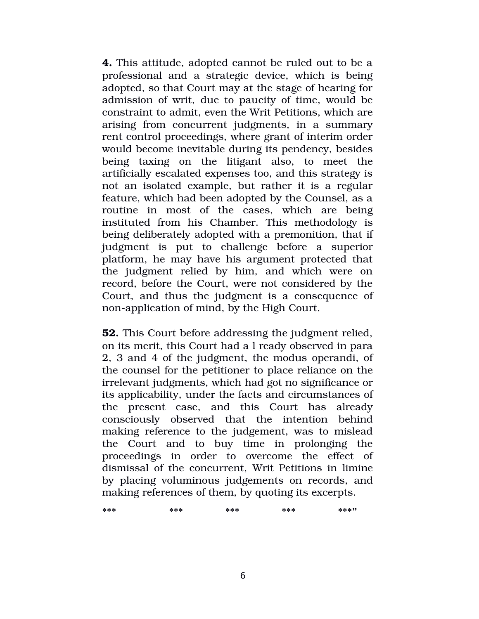**4.** This attitude, adopted cannot be ruled out to be a professional and a strategic device, which is being adopted, so that Court may at the stage of hearing for admission of writ, due to paucity of time, would be constraint to admit, even the Writ Petitions, which are arising from concurrent judgments, in a summary rent control proceedings, where grant of interim order would become inevitable during its pendency, besides being taxing on the litigant also, to meet the artificially escalated expenses too, and this strategy is not an isolated example, but rather it is a regular feature, which had been adopted by the Counsel, as a routine in most of the cases, which are being instituted from his Chamber. This methodology is being deliberately adopted with a premonition, that if judgment is put to challenge before a superior platform, he may have his argument protected that the judgment relied by him, and which were on record, before the Court, were not considered by the Court, and thus the judgment is a consequence of non-application of mind, by the High Court.

**52.** This Court before addressing the judgment relied, on its merit, this Court had a l ready observed in para 2, 3 and 4 of the judgment, the modus operandi, of the counsel for the petitioner to place reliance on the irrelevant judgments, which had got no significance or its applicability, under the facts and circumstances of the present case, and this Court has already consciously observed that the intention behind making reference to the judgement, was to mislead the Court and to buy time in prolonging the proceedings in order to overcome the effect of dismissal of the concurrent, Writ Petitions in limine by placing voluminous judgements on records, and making references of them, by quoting its excerpts.

| *** | *** | *** | *** | ***" |
|-----|-----|-----|-----|------|
|     |     |     |     |      |
|     |     |     |     |      |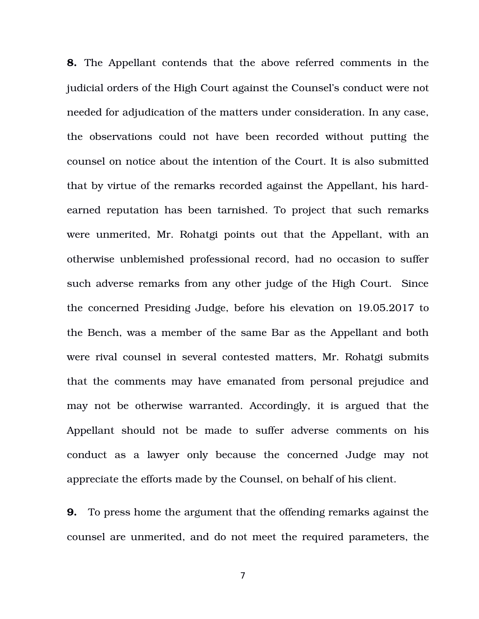**8.** The Appellant contends that the above referred comments in the judicial orders of the High Court against the Counsel's conduct were not needed for adjudication of the matters under consideration. In any case, the observations could not have been recorded without putting the counsel on notice about the intention of the Court. It is also submitted that by virtue of the remarks recorded against the Appellant, his hardearned reputation has been tarnished. To project that such remarks were unmerited, Mr. Rohatgi points out that the Appellant, with an otherwise unblemished professional record, had no occasion to suffer such adverse remarks from any other judge of the High Court. Since the concerned Presiding Judge, before his elevation on 19.05.2017 to the Bench, was a member of the same Bar as the Appellant and both were rival counsel in several contested matters, Mr. Rohatgi submits that the comments may have emanated from personal prejudice and may not be otherwise warranted. Accordingly, it is argued that the Appellant should not be made to suffer adverse comments on his conduct as a lawyer only because the concerned Judge may not appreciate the efforts made by the Counsel, on behalf of his client.

**9.** To press home the argument that the offending remarks against the counsel are unmerited, and do not meet the required parameters, the

7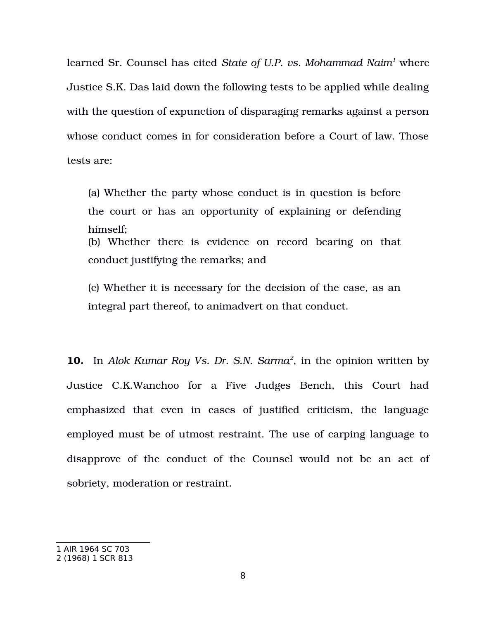learned Sr. Counsel has cited *State of U.P. vs. Mohammad Naim[1](#page-7-0)* where Justice S.K. Das laid down the following tests to be applied while dealing with the question of expunction of disparaging remarks against a person whose conduct comes in for consideration before a Court of law. Those tests are:

(a) Whether the party whose conduct is in question is before the court or has an opportunity of explaining or defending himself; (b) Whether there is evidence on record bearing on that conduct justifying the remarks; and

(c) Whether it is necessary for the decision of the case, as an integral part thereof, to animadvert on that conduct.

**10.** In *Alok Kumar Roy Vs. Dr. S.N. Sarma[2](#page-7-1)* , in the opinion written by Justice C.K.Wanchoo for a Five Judges Bench, this Court had emphasized that even in cases of justified criticism, the language employed must be of utmost restraint. The use of carping language to disapprove of the conduct of the Counsel would not be an act of sobriety, moderation or restraint.

<span id="page-7-0"></span><sup>1</sup> AIR 1964 SC 703

<span id="page-7-1"></span><sup>2 (1968) 1</sup> SCR 813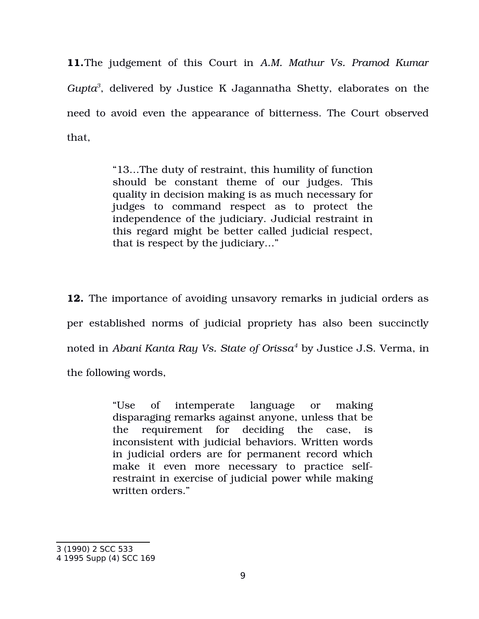**11.**The judgement of this Court in *A.M. Mathur Vs. Pramod Kumar Gupta[3](#page-8-0)* , delivered by Justice K Jagannatha Shetty, elaborates on the need to avoid even the appearance of bitterness. The Court observed that,

> "13…The duty of restraint, this humility of function should be constant theme of our judges. This quality in decision making is as much necessary for judges to command respect as to protect the independence of the judiciary. Judicial restraint in this regard might be better called judicial respect, that is respect by the judiciary…"

**12.** The importance of avoiding unsavory remarks in judicial orders as per established norms of judicial propriety has also been succinctly noted in *Abani Kanta Ray Vs. State of Orissa[4](#page-8-1)* by Justice J.S. Verma, in the following words,

> "Use of intemperate language or making disparaging remarks against anyone, unless that be the requirement for deciding the case, is inconsistent with judicial behaviors. Written words in judicial orders are for permanent record which make it even more necessary to practice selfrestraint in exercise of judicial power while making written orders."

<span id="page-8-0"></span><sup>3 (1990) 2</sup> SCC 533

<span id="page-8-1"></span><sup>4 1995</sup> Supp (4) SCC 169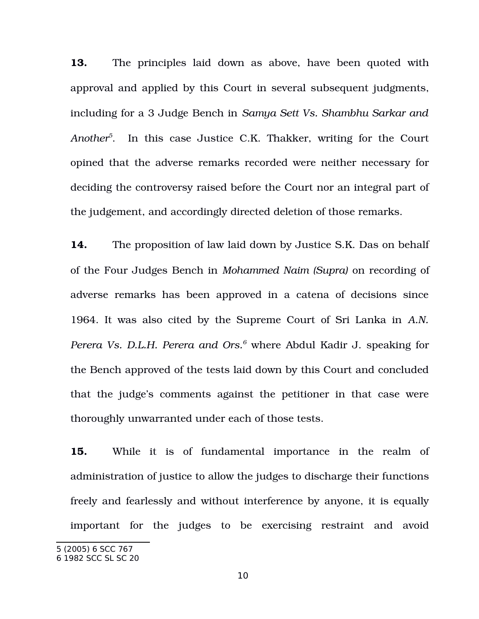**13.** The principles laid down as above, have been quoted with approval and applied by this Court in several subsequent judgments, including for a 3 Judge Bench in *Samya Sett Vs. Shambhu Sarkar and Another[5](#page-9-0)* . In this case Justice C.K. Thakker, writing for the Court opined that the adverse remarks recorded were neither necessary for deciding the controversy raised before the Court nor an integral part of the judgement, and accordingly directed deletion of those remarks.

**14.** The proposition of law laid down by Justice S.K. Das on behalf of the Four Judges Bench in *Mohammed Naim (Supra)* on recording of adverse remarks has been approved in a catena of decisions since 1964. It was also cited by the Supreme Court of Sri Lanka in *A.N. Perera Vs. D.L.H. Perera and Ors.[6](#page-9-1)* where Abdul Kadir J. speaking for the Bench approved of the tests laid down by this Court and concluded that the judge's comments against the petitioner in that case were thoroughly unwarranted under each of those tests.

**15.** While it is of fundamental importance in the realm of administration of justice to allow the judges to discharge their functions freely and fearlessly and without interference by anyone, it is equally important for the judges to be exercising restraint and avoid

<span id="page-9-0"></span><sup>5 (2005) 6</sup> SCC 767

<span id="page-9-1"></span><sup>6 1982</sup> SCC SL SC 20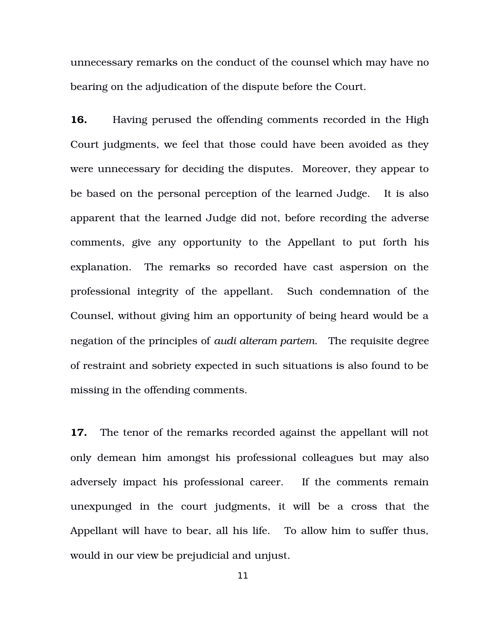unnecessary remarks on the conduct of the counsel which may have no bearing on the adjudication of the dispute before the Court.

**16.** Having perused the offending comments recorded in the High Court judgments, we feel that those could have been avoided as they were unnecessary for deciding the disputes. Moreover, they appear to be based on the personal perception of the learned Judge. It is also apparent that the learned Judge did not, before recording the adverse comments, give any opportunity to the Appellant to put forth his explanation. The remarks so recorded have cast aspersion on the professional integrity of the appellant. Such condemnation of the Counsel, without giving him an opportunity of being heard would be a negation of the principles of *audi alteram partem*. The requisite degree of restraint and sobriety expected in such situations is also found to be missing in the offending comments.

**17.** The tenor of the remarks recorded against the appellant will not only demean him amongst his professional colleagues but may also adversely impact his professional career. If the comments remain unexpunged in the court judgments, it will be a cross that the Appellant will have to bear, all his life. To allow him to suffer thus, would in our view be prejudicial and unjust.

11